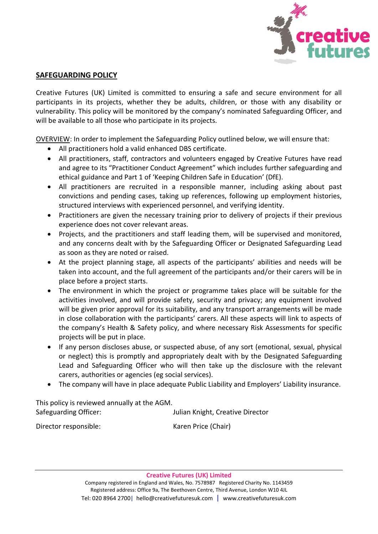

#### **SAFEGUARDING POLICY**

Creative Futures (UK) Limited is committed to ensuring a safe and secure environment for all participants in its projects, whether they be adults, children, or those with any disability or vulnerability. This policy will be monitored by the company's nominated Safeguarding Officer, and will be available to all those who participate in its projects.

OVERVIEW: In order to implement the Safeguarding Policy outlined below, we will ensure that:

- All practitioners hold a valid enhanced DBS certificate.
- All practitioners, staff, contractors and volunteers engaged by Creative Futures have read and agree to its "Practitioner Conduct Agreement" which includes further safeguarding and ethical guidance and Part 1 of 'Keeping Children Safe in Education' (DfE).
- All practitioners are recruited in a responsible manner, including asking about past convictions and pending cases, taking up references, following up employment histories, structured interviews with experienced personnel, and verifying identity.
- Practitioners are given the necessary training prior to delivery of projects if their previous experience does not cover relevant areas.
- Projects, and the practitioners and staff leading them, will be supervised and monitored, and any concerns dealt with by the Safeguarding Officer or Designated Safeguarding Lead as soon as they are noted or raised.
- At the project planning stage, all aspects of the participants' abilities and needs will be taken into account, and the full agreement of the participants and/or their carers will be in place before a project starts.
- The environment in which the project or programme takes place will be suitable for the activities involved, and will provide safety, security and privacy; any equipment involved will be given prior approval for its suitability, and any transport arrangements will be made in close collaboration with the participants' carers. All these aspects will link to aspects of the company's Health & Safety policy, and where necessary Risk Assessments for specific projects will be put in place.
- If any person discloses abuse, or suspected abuse, of any sort (emotional, sexual, physical or neglect) this is promptly and appropriately dealt with by the Designated Safeguarding Lead and Safeguarding Officer who will then take up the disclosure with the relevant carers, authorities or agencies (eg social services).
- The company will have in place adequate Public Liability and Employers' Liability insurance.

This policy is reviewed annually at the AGM. Safeguarding Officer: Julian Knight, Creative Director

Director responsible: Karen Price (Chair)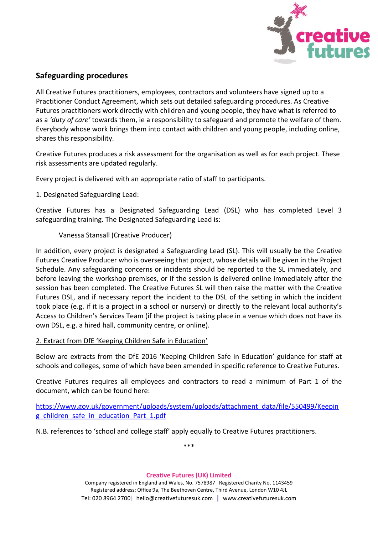

# **Safeguarding procedures**

All Creative Futures practitioners, employees, contractors and volunteers have signed up to a Practitioner Conduct Agreement, which sets out detailed safeguarding procedures. As Creative Futures practitioners work directly with children and young people, they have what is referred to as a *'duty of care'* towards them, ie a responsibility to safeguard and promote the welfare of them. Everybody whose work brings them into contact with children and young people, including online, shares this responsibility.

Creative Futures produces a risk assessment for the organisation as well as for each project. These risk assessments are updated regularly.

Every project is delivered with an appropriate ratio of staff to participants.

## 1. Designated Safeguarding Lead:

Creative Futures has a Designated Safeguarding Lead (DSL) who has completed Level 3 safeguarding training. The Designated Safeguarding Lead is:

## Vanessa Stansall (Creative Producer)

In addition, every project is designated a Safeguarding Lead (SL). This will usually be the Creative Futures Creative Producer who is overseeing that project, whose details will be given in the Project Schedule. Any safeguarding concerns or incidents should be reported to the SL immediately, and before leaving the workshop premises, or if the session is delivered online immediately after the session has been completed. The Creative Futures SL will then raise the matter with the Creative Futures DSL, and if necessary report the incident to the DSL of the setting in which the incident took place (e.g. if it is a project in a school or nursery) or directly to the relevant local authority's Access to Children's Services Team (if the project is taking place in a venue which does not have its own DSL, e.g. a hired hall, community centre, or online).

## 2. Extract from DfE 'Keeping Children Safe in Education'

Below are extracts from the DfE 2016 'Keeping Children Safe in Education' guidance for staff at schools and colleges, some of which have been amended in specific reference to Creative Futures.

Creative Futures requires all employees and contractors to read a minimum of Part 1 of the document, which can be found here:

[https://www.gov.uk/government/uploads/system/uploads/attachment\\_data/file/550499/Keepin](https://www.gov.uk/government/uploads/system/uploads/attachment_data/file/550499/Keeping_children_safe_in_education_Part_1.pdf) [g\\_children\\_safe\\_in\\_education\\_Part\\_1.pdf](https://www.gov.uk/government/uploads/system/uploads/attachment_data/file/550499/Keeping_children_safe_in_education_Part_1.pdf)

N.B. references to 'school and college staff' apply equally to Creative Futures practitioners.

\*\*\*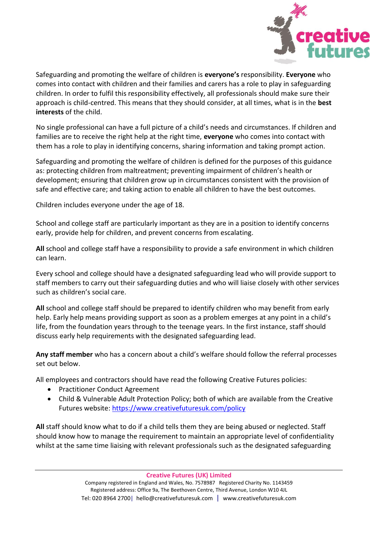

Safeguarding and promoting the welfare of children is **everyone's** responsibility. **Everyone** who comes into contact with children and their families and carers has a role to play in safeguarding children. In order to fulfil this responsibility effectively, all professionals should make sure their approach is child-centred. This means that they should consider, at all times, what is in the **best interests** of the child.

No single professional can have a full picture of a child's needs and circumstances. If children and families are to receive the right help at the right time, **everyone** who comes into contact with them has a role to play in identifying concerns, sharing information and taking prompt action.

Safeguarding and promoting the welfare of children is defined for the purposes of this guidance as: protecting children from maltreatment; preventing impairment of children's health or development; ensuring that children grow up in circumstances consistent with the provision of safe and effective care; and taking action to enable all children to have the best outcomes.

Children includes everyone under the age of 18.

School and college staff are particularly important as they are in a position to identify concerns early, provide help for children, and prevent concerns from escalating.

**All** school and college staff have a responsibility to provide a safe environment in which children can learn.

Every school and college should have a designated safeguarding lead who will provide support to staff members to carry out their safeguarding duties and who will liaise closely with other services such as children's social care.

**All** school and college staff should be prepared to identify children who may benefit from early help. Early help means providing support as soon as a problem emerges at any point in a child's life, from the foundation years through to the teenage years. In the first instance, staff should discuss early help requirements with the designated safeguarding lead.

**Any staff member** who has a concern about a child's welfare should follow the referral processes set out below.

All employees and contractors should have read the following Creative Futures policies:

- Practitioner Conduct Agreement
- Child & Vulnerable Adult Protection Policy; both of which are available from the Creative Futures website:<https://www.creativefuturesuk.com/policy>

**All** staff should know what to do if a child tells them they are being abused or neglected. Staff should know how to manage the requirement to maintain an appropriate level of confidentiality whilst at the same time liaising with relevant professionals such as the designated safeguarding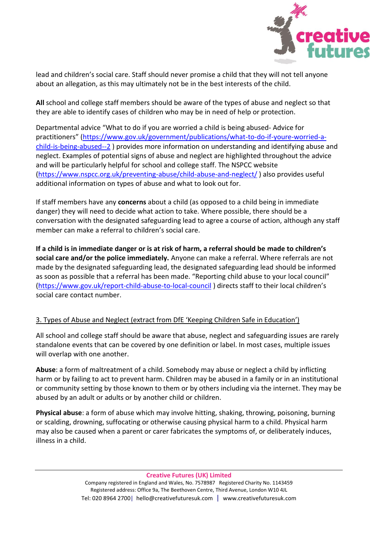

lead and children's social care. Staff should never promise a child that they will not tell anyone about an allegation, as this may ultimately not be in the best interests of the child.

**All** school and college staff members should be aware of the types of abuse and neglect so that they are able to identify cases of children who may be in need of help or protection.

Departmental advice "What to do if you are worried a child is being abused- Advice for practitioners" ([https://www.gov.uk/government/publications/what-to-do-if-youre-worried-a](https://www.gov.uk/government/publications/what-to-do-if-youre-worried-a-child-is-being-abused--2)[child-is-being-abused--2](https://www.gov.uk/government/publications/what-to-do-if-youre-worried-a-child-is-being-abused--2) ) provides more information on understanding and identifying abuse and neglect. Examples of potential signs of abuse and neglect are highlighted throughout the advice and will be particularly helpful for school and college staff. The NSPCC website [\(https://www.nspcc.org.uk/preventing-abuse/child-abuse-and-neglect/](https://www.nspcc.org.uk/preventing-abuse/child-abuse-and-neglect/) ) also provides useful additional information on types of abuse and what to look out for.

If staff members have any **concerns** about a child (as opposed to a child being in immediate danger) they will need to decide what action to take. Where possible, there should be a conversation with the designated safeguarding lead to agree a course of action, although any staff member can make a referral to children's social care.

**If a child is in immediate danger or is at risk of harm, a referral should be made to children's social care and/or the police immediately.** Anyone can make a referral. Where referrals are not made by the designated safeguarding lead, the designated safeguarding lead should be informed as soon as possible that a referral has been made. "Reporting child abuse to your local council" [\(https://www.gov.uk/report-child-abuse-to-local-council](https://www.gov.uk/report-child-abuse-to-local-council) ) directs staff to their local children's social care contact number.

# 3. Types of Abuse and Neglect (extract from DfE 'Keeping Children Safe in Education')

All school and college staff should be aware that abuse, neglect and safeguarding issues are rarely standalone events that can be covered by one definition or label. In most cases, multiple issues will overlap with one another.

**Abuse**: a form of maltreatment of a child. Somebody may abuse or neglect a child by inflicting harm or by failing to act to prevent harm. Children may be abused in a family or in an institutional or community setting by those known to them or by others including via the internet. They may be abused by an adult or adults or by another child or children.

**Physical abuse**: a form of abuse which may involve hitting, shaking, throwing, poisoning, burning or scalding, drowning, suffocating or otherwise causing physical harm to a child. Physical harm may also be caused when a parent or carer fabricates the symptoms of, or deliberately induces, illness in a child.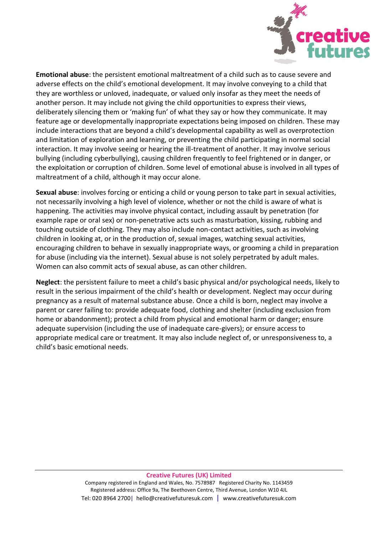

**Emotional abuse**: the persistent emotional maltreatment of a child such as to cause severe and adverse effects on the child's emotional development. It may involve conveying to a child that they are worthless or unloved, inadequate, or valued only insofar as they meet the needs of another person. It may include not giving the child opportunities to express their views, deliberately silencing them or 'making fun' of what they say or how they communicate. It may feature age or developmentally inappropriate expectations being imposed on children. These may include interactions that are beyond a child's developmental capability as well as overprotection and limitation of exploration and learning, or preventing the child participating in normal social interaction. It may involve seeing or hearing the ill-treatment of another. It may involve serious bullying (including cyberbullying), causing children frequently to feel frightened or in danger, or the exploitation or corruption of children. Some level of emotional abuse is involved in all types of maltreatment of a child, although it may occur alone.

**Sexual abuse**: involves forcing or enticing a child or young person to take part in sexual activities, not necessarily involving a high level of violence, whether or not the child is aware of what is happening. The activities may involve physical contact, including assault by penetration (for example rape or oral sex) or non-penetrative acts such as masturbation, kissing, rubbing and touching outside of clothing. They may also include non-contact activities, such as involving children in looking at, or in the production of, sexual images, watching sexual activities, encouraging children to behave in sexually inappropriate ways, or grooming a child in preparation for abuse (including via the internet). Sexual abuse is not solely perpetrated by adult males. Women can also commit acts of sexual abuse, as can other children.

**Neglect**: the persistent failure to meet a child's basic physical and/or psychological needs, likely to result in the serious impairment of the child's health or development. Neglect may occur during pregnancy as a result of maternal substance abuse. Once a child is born, neglect may involve a parent or carer failing to: provide adequate food, clothing and shelter (including exclusion from home or abandonment); protect a child from physical and emotional harm or danger; ensure adequate supervision (including the use of inadequate care-givers); or ensure access to appropriate medical care or treatment. It may also include neglect of, or unresponsiveness to, a child's basic emotional needs.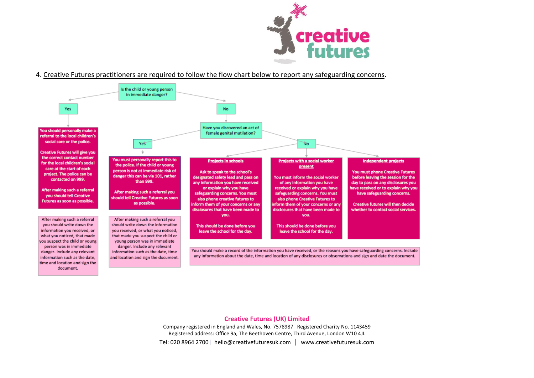

#### 4. Creative Futures practitioners are required to follow the flow chart below to report any safeguarding concerns.



**Creative Futures (UK) Limited**

Company registered in England and Wales, No. 7578987 Registered Charity No. 1143459 Registered address: Office 9a, The Beethoven Centre, Third Avenue, London W10 4JL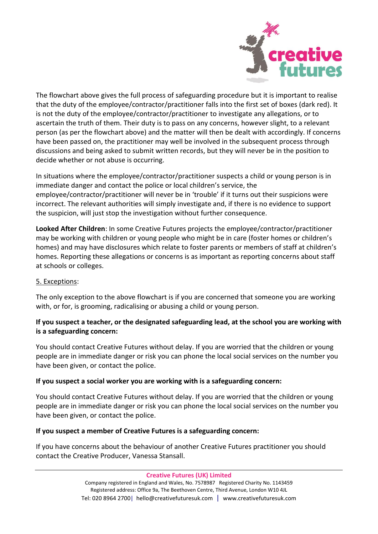

The flowchart above gives the full process of safeguarding procedure but it is important to realise that the duty of the employee/contractor/practitioner falls into the first set of boxes (dark red). It is not the duty of the employee/contractor/practitioner to investigate any allegations, or to ascertain the truth of them. Their duty is to pass on any concerns, however slight, to a relevant person (as per the flowchart above) and the matter will then be dealt with accordingly. If concerns have been passed on, the practitioner may well be involved in the subsequent process through discussions and being asked to submit written records, but they will never be in the position to decide whether or not abuse is occurring.

In situations where the employee/contractor/practitioner suspects a child or young person is in immediate danger and contact the police or local children's service, the employee/contractor/practitioner will never be in 'trouble' if it turns out their suspicions were incorrect. The relevant authorities will simply investigate and, if there is no evidence to support the suspicion, will just stop the investigation without further consequence.

**Looked After Children**: In some Creative Futures projects the employee/contractor/practitioner may be working with children or young people who might be in care (foster homes or children's homes) and may have disclosures which relate to foster parents or members of staff at children's homes. Reporting these allegations or concerns is as important as reporting concerns about staff at schools or colleges.

## 5. Exceptions:

The only exception to the above flowchart is if you are concerned that someone you are working with, or for, is grooming, radicalising or abusing a child or young person.

## **If you suspect a teacher, or the designated safeguarding lead, at the school you are working with is a safeguarding concern:**

You should contact Creative Futures without delay. If you are worried that the children or young people are in immediate danger or risk you can phone the local social services on the number you have been given, or contact the police.

## **If you suspect a social worker you are working with is a safeguarding concern:**

You should contact Creative Futures without delay. If you are worried that the children or young people are in immediate danger or risk you can phone the local social services on the number you have been given, or contact the police.

#### **If you suspect a member of Creative Futures is a safeguarding concern:**

If you have concerns about the behaviour of another Creative Futures practitioner you should contact the Creative Producer, Vanessa Stansall.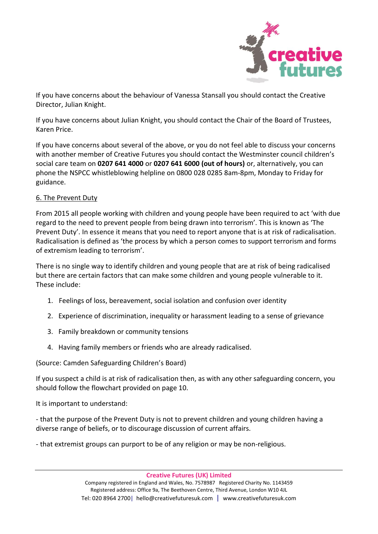

If you have concerns about the behaviour of Vanessa Stansall you should contact the Creative Director, Julian Knight.

If you have concerns about Julian Knight, you should contact the Chair of the Board of Trustees, Karen Price.

If you have concerns about several of the above, or you do not feel able to discuss your concerns with another member of Creative Futures you should contact the Westminster council children's social care team on **0207 641 4000** or **0207 641 6000 (out of hours)** or, alternatively, you can phone the NSPCC whistleblowing helpline on 0800 028 0285 8am-8pm, Monday to Friday for guidance.

## 6. The Prevent Duty

From 2015 all people working with children and young people have been required to act 'with due regard to the need to prevent people from being drawn into terrorism'. This is known as 'The Prevent Duty'. In essence it means that you need to report anyone that is at risk of radicalisation. Radicalisation is defined as 'the process by which a person comes to support terrorism and forms of extremism leading to terrorism'.

There is no single way to identify children and young people that are at risk of being radicalised but there are certain factors that can make some children and young people vulnerable to it. These include:

- 1. Feelings of loss, bereavement, social isolation and confusion over identity
- 2. Experience of discrimination, inequality or harassment leading to a sense of grievance
- 3. Family breakdown or community tensions
- 4. Having family members or friends who are already radicalised.

#### (Source: Camden Safeguarding Children's Board)

If you suspect a child is at risk of radicalisation then, as with any other safeguarding concern, you should follow the flowchart provided on page 10.

It is important to understand:

- that the purpose of the Prevent Duty is not to prevent children and young children having a diverse range of beliefs, or to discourage discussion of current affairs.

- that extremist groups can purport to be of any religion or may be non-religious.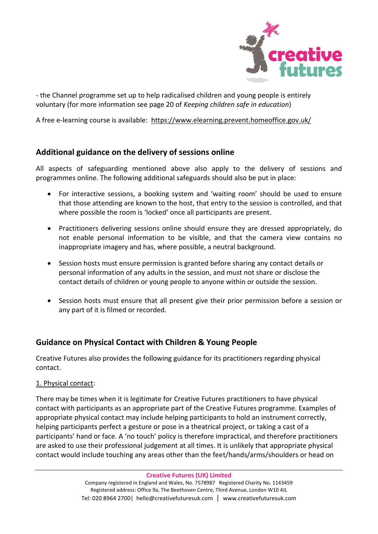

- the Channel programme set up to help radicalised children and young people is entirely voluntary (for more information see page 20 of *Keeping children safe in education*)

A free e-learning course is available: <https://www.elearning.prevent.homeoffice.gov.uk/>

# **Additional guidance on the delivery of sessions online**

All aspects of safeguarding mentioned above also apply to the delivery of sessions and programmes online. The following additional safeguards should also be put in place:

- For interactive sessions, a booking system and 'waiting room' should be used to ensure that those attending are known to the host, that entry to the session is controlled, and that where possible the room is 'locked' once all participants are present.
- Practitioners delivering sessions online should ensure they are dressed appropriately, do not enable personal information to be visible, and that the camera view contains no inappropriate imagery and has, where possible, a neutral background.
- Session hosts must ensure permission is granted before sharing any contact details or personal information of any adults in the session, and must not share or disclose the contact details of children or young people to anyone within or outside the session.
- Session hosts must ensure that all present give their prior permission before a session or any part of it is filmed or recorded.

# **Guidance on Physical Contact with Children & Young People**

Creative Futures also provides the following guidance for its practitioners regarding physical contact.

## 1. Physical contact:

There may be times when it is legitimate for Creative Futures practitioners to have physical contact with participants as an appropriate part of the Creative Futures programme. Examples of appropriate physical contact may include helping participants to hold an instrument correctly, helping participants perfect a gesture or pose in a theatrical project, or taking a cast of a participants' hand or face. A 'no touch' policy is therefore impractical, and therefore practitioners are asked to use their professional judgement at all times. It is unlikely that appropriate physical contact would include touching any areas other than the feet/hands/arms/shoulders or head on